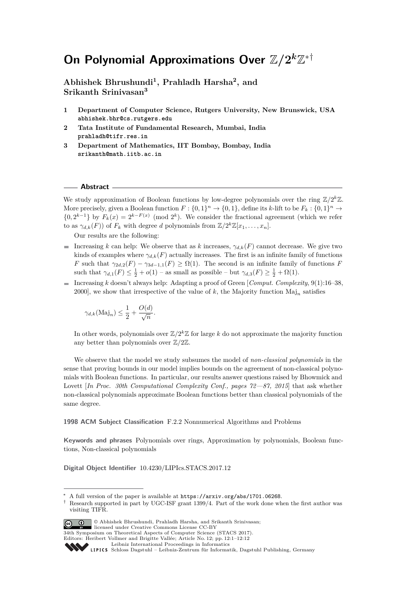# **On Polynomial Approximations Over**  $\mathbb{Z}/2^k\mathbb{Z}^{*†}$

**Abhishek Bhrushundi<sup>1</sup> , Prahladh Harsha<sup>2</sup> , and Srikanth Srinivasan<sup>3</sup>**

- **1 Department of Computer Science, Rutgers University, New Brunswick, USA abhishek.bhr@cs.rutgers.edu**
- **2 Tata Institute of Fundamental Research, Mumbai, India prahladh@tifr.res.in**
- **3 Department of Mathematics, IIT Bombay, Bombay, India srikanth@math.iitb.ac.in**

#### **Abstract**

We study approximation of Boolean functions by low-degree polynomials over the ring  $\mathbb{Z}/2^k\mathbb{Z}$ . More precisely, given a Boolean function  $F: \{0,1\}^n \to \{0,1\}$ , define its *k*-lift to be  $F_k: \{0,1\}^n \to$  $\{0, 2^{k-1}\}$  by  $F_k(x) = 2^{k-F(x)} \pmod{2^k}$ . We consider the fractional agreement (which we refer to as  $\gamma_{d,k}(F)$ ) of  $F_k$  with degree *d* polynomials from  $\mathbb{Z}/2^k\mathbb{Z}[x_1,\ldots,x_n]$ .

Our results are the following:

- Increasing *k* can help: We observe that as *k* increases,  $\gamma_{d,k}(F)$  cannot decrease. We give two kinds of examples where  $\gamma_{d,k}(F)$  actually increases. The first is an infinite family of functions *F* such that  $\gamma_{2d,2}(F) - \gamma_{3d-1,1}(F) \ge \Omega(1)$ . The second is an infinite family of functions *F* such that  $\gamma_{d,1}(F) \leq \frac{1}{2} + o(1)$  – as small as possible – but  $\gamma_{d,3}(F) \geq \frac{1}{2} + \Omega(1)$ .
- Increasing *k* doesn't always help: Adapting a proof of Green [*Comput. Complexity*, 9(1):16–38, a. 2000], we show that irrespective of the value of *k*, the Majority function Maj*<sup>n</sup>* satisfies

$$
\gamma_{d,k}(\text{Maj}_n) \le \frac{1}{2} + \frac{O(d)}{\sqrt{n}}.
$$

In other words, polynomials over  $\mathbb{Z}/2^k\mathbb{Z}$  for large *k* do not approximate the majority function any better than polynomials over Z*/*2Z.

We observe that the model we study subsumes the model of *non-classical polynomials* in the sense that proving bounds in our model implies bounds on the agreement of non-classical polynomials with Boolean functions. In particular, our results answer questions raised by Bhowmick and Lovett [*In Proc. 30th Computational Complexity Conf., pages 72—87, 2015*] that ask whether non-classical polynomials approximate Boolean functions better than classical polynomials of the same degree.

**1998 ACM Subject Classification** F.2.2 Nonnumerical Algorithms and Problems

**Keywords and phrases** Polynomials over rings, Approximation by polynomials, Boolean functions, Non-classical polynomials

**Digital Object Identifier** [10.4230/LIPIcs.STACS.2017.12](http://dx.doi.org/10.4230/LIPIcs.STACS.2017.12)

<sup>†</sup> Research supported in part by UGC-ISF grant 1399/4. Part of the work done when the first author was visiting TIFR.



© Abhishek Bhrushundi, Prahladh Harsha, and Srikanth Srinivasan;

licensed under Creative Commons License CC-BY 34th Symposium on Theoretical Aspects of Computer Science (STACS 2017).

Editors: Heribert Vollmer and Brigitte Vallée; Article No. 12; pp. 12:1–12[:12](#page-11-0)

A full version of the paper is available at  $https://arxiv.org/abs/1701.06268$ .

[Leibniz International Proceedings in Informatics](http://www.dagstuhl.de/lipics/)

Leibniz International Froceedings in Informatik, Dagstuhl Publishing, Germany<br>LIPICS [Schloss Dagstuhl – Leibniz-Zentrum für Informatik, Dagstuhl Publishing, Germany](http://www.dagstuhl.de)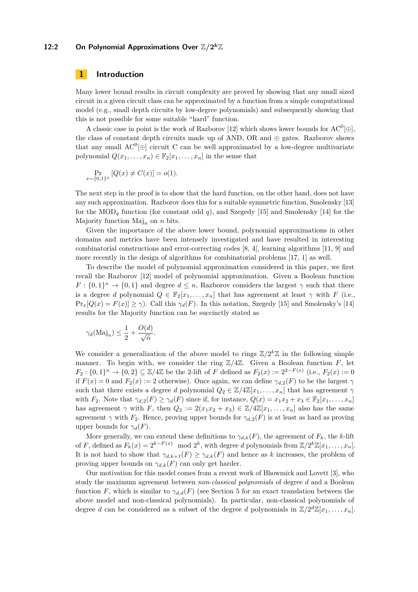# **12:2** On Polynomial Approximations Over  $\mathbb{Z}/2^k\mathbb{Z}$

#### **1 Introduction**

Many lower bound results in circuit complexity are proved by showing that any small sized circuit in a given circuit class can be approximated by a function from a simple computational model (e.g., small depth circuits by low-degree polynomials) and subsequently showing that this is not possible for some suitable "hard" function.

A classic case in point is the work of Razborov [\[12\]](#page-11-1) which shows lower bounds for  $AC^0[\oplus]$ , the class of constant depth circuits made up of AND, OR and  $\oplus$  gates. Razborov shows that any small  $AC^0[\oplus]$  circuit C can be well approximated by a low-degree multivariate polynomial  $Q(x_1, \ldots, x_n) \in \mathbb{F}_2[x_1, \ldots, x_n]$  in the sense that

$$
\Pr_{x \sim \{0,1\}^n} [Q(x) \neq C(x)] = o(1).
$$

The next step in the proof is to show that the hard function, on the other hand, does not have any such approximation. Razborov does this for a suitable symmetric function, Smolensky [\[13\]](#page-11-2) for the  $\text{MOD}_q$  function (for constant odd q), and Szegedy [\[15\]](#page-11-3) and Smolensky [\[14\]](#page-11-4) for the Majority function  $\text{Maj}_n$  on *n* bits.

Given the importance of the above lower bound, polynomial approximations in other domains and metrics have been intensely investigated and have resulted in interesting combinatorial constructions and error-correcting codes [\[8,](#page-11-5) [4\]](#page-11-6), learning algorithms [\[11,](#page-11-7) [9\]](#page-11-8) and more recently in the design of algorithms for combinatorial problems [\[17,](#page-11-9) [1\]](#page-11-10) as well.

To describe the model of polynomial approximation considered in this paper, we first recall the Razborov [\[12\]](#page-11-1) model of polynomial approximation. Given a Boolean function  $F: \{0,1\}^n \to \{0,1\}$  and degree  $d \leq n$ , Razborov considers the largest  $\gamma$  such that there is a degree *d* polynomial  $Q \in \mathbb{F}_2[x_1, \ldots, x_n]$  that has agreement at least  $\gamma$  with *F* (i.e.,  $\Pr_x[Q(x) = F(x)] \ge \gamma$ . Call this  $\gamma_d(F)$ . In this notation, Szegedy [\[15\]](#page-11-3) and Smolensky's [\[14\]](#page-11-4) results for the Majority function can be succinctly stated as

$$
\gamma_d(\text{Maj}_n) \le \frac{1}{2} + \frac{O(d)}{\sqrt{n}}.
$$

We consider a generalization of the above model to rings  $\mathbb{Z}/2^k\mathbb{Z}$  in the following simple manner. To begin with, we consider the ring  $\mathbb{Z}/4\mathbb{Z}$ . Given a Boolean function *F*, let *F*<sub>2</sub> : {0, 1}<sup>*n*</sup> → {0, 2} ⊆ Z/4Z be the 2-lift of *F* defined as  $F_2(x) := 2^{2 - F(x)}$  (i.e.,  $F_2(x) := 0$ if  $F(x) = 0$  and  $F_2(x) := 2$  otherwise). Once again, we can define  $\gamma_{d,2}(F)$  to be the largest  $\gamma$ such that there exists a degree *d* polynomial  $Q_2 \in \mathbb{Z}/4\mathbb{Z}[x_1,\ldots,x_n]$  that has agreement  $\gamma$ with *F*<sub>2</sub>. Note that  $\gamma_{d,2}(F) \geq \gamma_d(F)$  since if, for instance,  $Q(x) = x_1x_2 + x_3 \in \mathbb{F}_2[x_1,\ldots,x_n]$ has agreement  $\gamma$  with *F*, then  $Q_2 := 2(x_1x_2 + x_3) \in \mathbb{Z}/4\mathbb{Z}[x_1,\ldots,x_n]$  also has the same agreement  $\gamma$  with  $F_2$ . Hence, proving upper bounds for  $\gamma_{d,2}(F)$  is at least as hard as proving upper bounds for  $\gamma_d(F)$ .

More generally, we can extend these definitions to  $\gamma_{d,k}(F)$ , the agreement of  $F_k$ , the *k*-lift of *F*, defined as  $F_k(x) = 2^{k-F(x)} \mod 2^k$ , with degree *d* polynomials from  $\mathbb{Z}/2^k\mathbb{Z}[x_1,\ldots,x_n]$ . It is not hard to show that  $\gamma_{d,k+1}(F) \geq \gamma_{d,k}(F)$  and hence as *k* increases, the problem of proving upper bounds on  $\gamma_{d,k}(F)$  can only get harder.

Our motivation for this model comes from a recent work of Bhowmick and Lovett [\[3\]](#page-11-11), who study the maximum agreement between *non-classical polynomials* of degree *d* and a Boolean function *F*, which is similar to  $\gamma_{d,d}(F)$  (see Section [5](#page-9-0) for an exact translation between the above model and non-classical polynomials). In particular, non-classical polynomials of degree *d* can be considered as a subset of the degree *d* polynomials in  $\mathbb{Z}/2^d\mathbb{Z}[x_1,\ldots,x_n]$ .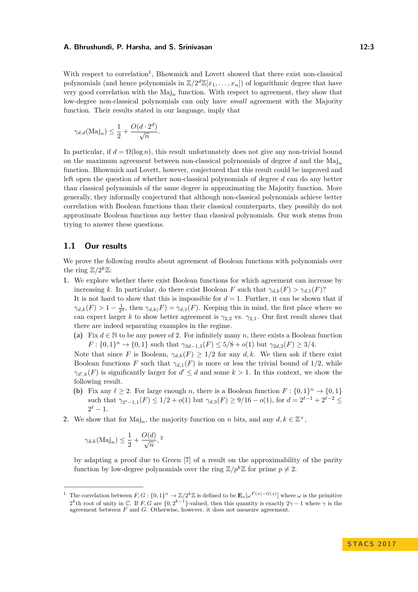With respect to correlation<sup>[1](#page-2-0)</sup>, Bhowmick and Lovett showed that there exist non-classical polynomials (and hence polynomials in  $\mathbb{Z}/2^d\mathbb{Z}[x_1,\ldots,x_n]$ ) of logarithmic degree that have very good correlation with the Maj*<sup>n</sup>* function. With respect to agreement, they show that low-degree non-classical polynomials can only have *small* agreement with the Majority function. Their results stated in our language, imply that

$$
\gamma_{d,d}(\text{Maj}_n) \le \frac{1}{2} + \frac{O(d \cdot 2^d)}{\sqrt{n}}.
$$

In particular, if  $d = \Omega(\log n)$ , this result unfortunately does not give any non-trivial bound on the maximum agreement between non-classical polynomials of degree *d* and the Maj*<sup>n</sup>* function. Bhowmick and Lovett, however, conjectured that this result could be improved and left open the question of whether non-classical polynomials of degree *d* can do any better than classical polynomials of the same degree in approximating the Majority function. More generally, they informally conjectured that although non-classical polynomials achieve better correlation with Boolean functions than their classical counterparts, they possibly do not approximate Boolean functions any better than classical polynomials. Our work stems from trying to answer these questions.

#### **1.1 Our results**

We prove the following results about agreement of Boolean functions with polynomials over the ring  $\mathbb{Z}/2^k\mathbb{Z}$ :

- **1.** We explore whether there exist Boolean functions for which agreement can increase by increasing *k*. In particular, do there exist Boolean *F* such that  $\gamma_{d,k}(F) > \gamma_{d,1}(F)$ ? It is not hard to show that this is impossible for  $d = 1$ . Further, it can be shown that if  $\gamma_{d,k}(F) > 1 - \frac{1}{2^d}$ , then  $\gamma_{d,k}(F) = \gamma_{d,1}(F)$ . Keeping this in mind, the first place where we can expect larger *k* to show better agreement is  $\gamma_{2,2}$  vs.  $\gamma_{2,1}$ . Our first result shows that there are indeed separating examples in the regime.
	- (a) Fix  $d \in \mathbb{N}$  to be any power of 2. For infinitely many *n*, there exists a Boolean function  $F: \{0,1\}^n \to \{0,1\}$  such that  $\gamma_{3d-1,1}(F) \leq 5/8 + o(1)$  but  $\gamma_{2d,2}(F) \geq 3/4$ .

Note that since *F* is Boolean,  $\gamma_{d,k}(F) \geq 1/2$  for any *d, k*. We then ask if there exist Boolean functions *F* such that  $\gamma_{d,1}(F)$  is more or less the trivial bound of 1/2, while  $\gamma_{d',k}(F)$  is significantly larger for  $d' \leq d$  and some  $k > 1$ . In this context, we show the following result.

- **(b)** Fix any  $\ell \geq 2$ . For large enough *n*, there is a Boolean function  $F : \{0,1\}^n \to \{0,1\}$ such that  $\gamma_{2^{\ell}-1,1}(F) \leq 1/2 + o(1)$  but  $\gamma_{d,3}(F) \geq 9/16 - o(1)$ , for  $d = 2^{\ell-1} + 2^{\ell-2} \leq$  $2^{\ell} - 1.$
- 2. We show that for  $\text{Maj}_n$ , the majority function on *n* bits, and any  $d, k \in \mathbb{Z}^+$ ,

$$
\gamma_{d,k}(\text{Maj}_n) \le \frac{1}{2} + \frac{O(d)}{\sqrt{n}},^2
$$

by adapting a proof due to Green [\[7\]](#page-11-12) of a result on the approximability of the parity function by low-degree polynomials over the ring  $\mathbb{Z}/p^k\mathbb{Z}$  for prime  $p \neq 2$ .

<span id="page-2-0"></span><sup>&</sup>lt;sup>1</sup> The correlation between  $F, G: \{0, 1\}^n \to \mathbb{Z}/2^k\mathbb{Z}$  is defined to be  $\mathbf{E}_x[\omega^{F(x)-G(x)}]$  where  $\omega$  is the primitive  $2^k$ th root of unity in C. If *F, G* are {0,  $2^{k-1}$ }-valued, then this quantity is exactly  $2\gamma - 1$  where  $\gamma$  is the agreement between *F* and *G*. Otherwise, however, it does not measure agreement.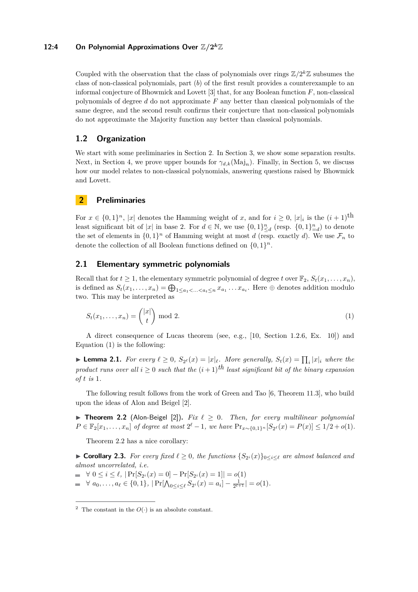# 12:4 On Polynomial Approximations Over  $\mathbb{Z}/2^k\mathbb{Z}$

Coupled with the observation that the class of polynomials over rings  $\mathbb{Z}/2^k\mathbb{Z}$  subsumes the class of non-classical polynomials, part (*b*) of the first result provides a counterexample to an informal conjecture of Bhowmick and Lovett [\[3\]](#page-11-11) that, for any Boolean function *F*, non-classical polynomials of degree *d* do not approximate *F* any better than classical polynomials of the same degree, and the second result confirms their conjecture that non-classical polynomials do not approximate the Majority function any better than classical polynomials.

## **1.2 Organization**

We start with some preliminaries in Section [2.](#page-3-1) In Section [3,](#page-5-0) we show some separation results. Next, in Section [4,](#page-8-0) we prove upper bounds for *γd,k*(Maj*n*). Finally, in Section [5,](#page-9-0) we discuss how our model relates to non-classical polynomials, answering questions raised by Bhowmick and Lovett.

#### <span id="page-3-1"></span>**2 Preliminaries**

For  $x \in \{0,1\}^n$ , |*x*| denotes the Hamming weight of *x*, and for  $i \geq 0$ ,  $|x|_i$  is the  $(i+1)$ <sup>th</sup> least significant bit of  $|x|$  in base 2. For  $d \in \mathbb{N}$ , we use  $\{0,1\}_{\leq d}^n$  (resp.  $\{0,1\}_{d=d}^n$ ) to denote the set of elements in  $\{0,1\}^n$  of Hamming weight at most *d* (resp. exactly *d*). We use  $\mathcal{F}_n$  to denote the collection of all Boolean functions defined on  $\{0,1\}^n$ .

## **2.1 Elementary symmetric polynomials**

Recall that for  $t \geq 1$ , the elementary symmetric polynomial of degree t over  $\mathbb{F}_2$ ,  $S_t(x_1, \ldots, x_n)$ , is defined as  $S_t(x_1, \ldots, x_n) = \bigoplus_{1 \le a_1 < \ldots < a_t \le n} x_{a_1} \ldots x_{a_t}$ . Here  $\oplus$  denotes addition modulo two. This may be interpreted as

<span id="page-3-2"></span>
$$
S_t(x_1,\ldots,x_n) = \binom{|x|}{t} \bmod 2. \tag{1}
$$

A direct consequence of Lucas theorem (see, e.g., [\[10,](#page-11-13) Section 1.2.6, Ex. 10]) and Equation [\(1\)](#page-3-2) is the following:

<span id="page-3-5"></span>▶ **Lemma 2.1.** *For every*  $\ell \geq 0$ ,  $S_{2^{\ell}}(x) = |x|_{\ell}$ . *More generally,*  $S_t(x) = \prod_i |x|_i$  *where the product runs over all*  $i \geq 0$  *such that the*  $(i+1)$ <sup>th</sup> *least significant bit of the binary expansion of t is* 1*.*

The following result follows from the work of Green and Tao [\[6,](#page-11-14) Theorem 11.3], who build upon the ideas of Alon and Beigel [\[2\]](#page-11-15).

<span id="page-3-3"></span>**Theorem 2.2** (Alon-Beigel [\[2\]](#page-11-15)). *Fix*  $\ell \geq 0$ . *Then, for every multilinear polynomial*  $P \in \mathbb{F}_2[x_1,\ldots,x_n]$  of degree at most  $2^{\ell} - 1$ , we have  $Pr_{x \sim \{0,1\}^n}[S_{2^{\ell}}(x) = P(x)] \leq 1/2 + o(1)$ .

Theorem [2.2](#page-3-3) has a nice corollary:

<span id="page-3-4"></span>▶ **Corollary 2.3.** For every fixed  $\ell \geq 0$ , the functions  $\{S_{2^i}(x)\}_{0 \leq i \leq \ell}$  are almost balanced and *almost uncorrelated, i.e.*

 $\forall$  0  $\leq i \leq \ell$ ,  $|\Pr[S_{2^i}(x) = 0] - \Pr[S_{2^i}(x) = 1]| = o(1)$  $\forall a_0, \ldots, a_\ell \in \{0, 1\}, \, |\Pr[\bigwedge_{0 \le i \le \ell} S_{2^i}(x) = a_i] - \frac{1}{2^{\ell+1}}| = o(1).$ 

<span id="page-3-0"></span><sup>&</sup>lt;sup>2</sup> The constant in the  $O(·)$  is an absolute constant.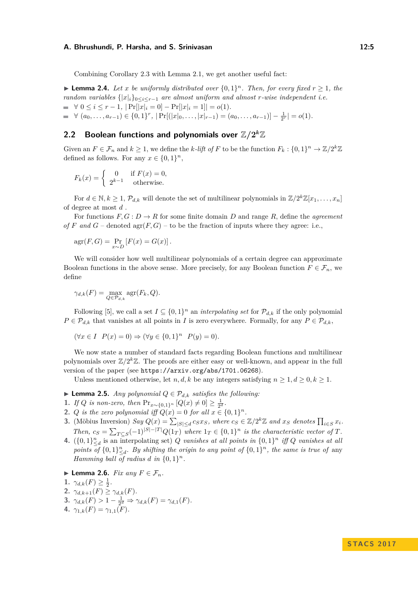Combining Corollary [2.3](#page-3-4) with Lemma [2.1,](#page-3-5) we get another useful fact:

<span id="page-4-1"></span>**Example 2.4.** Let *x* be uniformly distributed over  $\{0,1\}^n$ . Then, for every fixed  $r \geq 1$ , the *random variables*  $\{|x|_i\}_{0 \leq i \leq r-1}$  *are almost uniform and almost r-wise independent i.e.*  $\blacksquare$  ∀ 0 ≤ *i* ≤ *r* − 1, |Pr[|x|<sub>*i*</sub> = 0] − Pr[|x|<sub>*i*</sub> = 1]| = *o*(1)*.*  $\forall$   $(a_0, \ldots, a_{r-1}) \in \{0, 1\}^r$ ,  $|\Pr[(|x|_0, \ldots, |x|_{r-1}) = (a_0, \ldots, a_{r-1})] - \frac{1}{2^r}| = o(1)$ *.* 

# 2.2 Boolean functions and polynomials over  $\mathbb{Z}/2^k\mathbb{Z}$

Given an  $F \in \mathcal{F}_n$  and  $k \geq 1$ , we define the *k*-lift of F to be the function  $F_k: \{0,1\}^n \to \mathbb{Z}/2^k\mathbb{Z}$ defined as follows. For any  $x \in \{0,1\}^n$ ,

$$
F_k(x) = \begin{cases} 0 & \text{if } F(x) = 0, \\ 2^{k-1} & \text{otherwise.} \end{cases}
$$

For  $d \in \mathbb{N}, k \geq 1, \mathcal{P}_{d,k}$  will denote the set of multilinear polynomials in  $\mathbb{Z}/2^k\mathbb{Z}[x_1,\ldots,x_n]$ of degree at most *d* .

For functions  $F, G: D \to R$  for some finite domain *D* and range *R*, define the *agreement of F* and *G* – denoted agr(*F*, *G*) – to be the fraction of inputs where they agree: i.e.,

$$
agr(F, G) = \Pr_{x \sim D} [F(x) = G(x)].
$$

We will consider how well multilinear polynomials of a certain degree can approximate Boolean functions in the above sense. More precisely, for any Boolean function  $F \in \mathcal{F}_n$ , we define

$$
\gamma_{d,k}(F) = \max_{Q \in \mathcal{P}_{d,k}} \arg(F_k, Q).
$$

Following [\[5\]](#page-11-16), we call a set  $I \subseteq \{0,1\}^n$  an *interpolating set* for  $\mathcal{P}_{d,k}$  if the only polynomial  $P \in \mathcal{P}_{d,k}$  that vanishes at all points in *I* is zero everywhere. Formally, for any  $P \in \mathcal{P}_{d,k}$ ,

$$
(\forall x \in I \quad P(x) = 0) \Rightarrow (\forall y \in \{0, 1\}^n \quad P(y) = 0).
$$

We now state a number of standard facts regarding Boolean functions and multilinear polynomials over  $\mathbb{Z}/2^k\mathbb{Z}$ . The proofs are either easy or well-known, and appear in the full version of the paper (see <https://arxiv.org/abs/1701.06268>).

Unless mentioned otherwise, let *n, d, k* be any integers satisfying  $n \geq 1, d \geq 0, k \geq 1$ .

<span id="page-4-2"></span>▶ **Lemma 2.5.** *Any polynomial*  $Q \in \mathcal{P}_{d,k}$  *satisfies the following:* 

- 1. *If Q is non-zero, then*  $Pr_{x \sim \{0,1\}^n} [Q(x) \neq 0] \ge \frac{1}{2^d}$ .
- **2.** *Q is the zero polynomial iff*  $Q(x) = 0$  *for all*  $x \in \{0, 1\}^n$ .
- **3.** (Möbius Inversion) Say  $Q(x) = \sum_{|S| \le d} c_S x_S$ , where  $c_S \in \mathbb{Z}/2^k \mathbb{Z}$  and  $x_S$  denotes  $\prod_{i \in S} x_i$ . *Then,*  $c_S = \sum_{T \subseteq S} (-1)^{|S| - |T|} Q(1_T)$  *where*  $1_T \in \{0, 1\}^n$  *is the characteristic vector of T.*
- **4.**  $({0,1})_{\leq d}^n$  is an interpolating set) *Q vanishes at all points in*  ${0,1}^n$  *iff Q vanishes at all* points of  $\{0,1\}^n_{\leq d}$ . By shifting the origin to any point of  $\{0,1\}^n$ , the same is true of any *Hamming ball of radius d in*  $\{0,1\}^n$ .
- <span id="page-4-0"></span>▶ **Lemma 2.6.** *Fix any*  $F \in \mathcal{F}_n$ *.*
- 1.  $\gamma_{d,k}(F) \geq \frac{1}{2}$ .
- **2.**  $\gamma_{d,k+1}(F) \geq \gamma_{d,k}(F)$ .
- **3.**  $\gamma_{d,k}(F) > 1 \frac{1}{2^d} \Rightarrow \gamma_{d,k}(F) = \gamma_{d,1}(F)$ .
- **4.**  $\gamma_{1,k}(F) = \gamma_{1,1}(F)$ .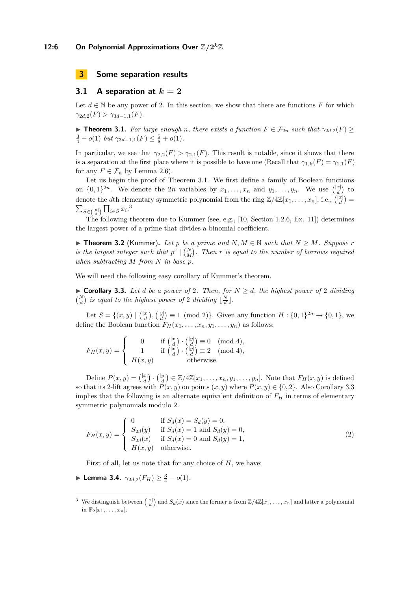#### <span id="page-5-0"></span>**3 Some separation results**

## **3.1** A separation at  $k = 2$

Let  $d \in \mathbb{N}$  be any power of 2. In this section, we show that there are functions F for which  $\gamma_{2d,2}(F) > \gamma_{3d-1,1}(F).$ 

<span id="page-5-1"></span>**Find 1.1.** For large enough *n*, there exists a function  $F \in \mathcal{F}_{2n}$  such that  $\gamma_{2d,2}(F) \geq$  $\frac{3}{4} - o(1)$  *but*  $\gamma_{3d-1,1}(F) \leq \frac{5}{8} + o(1)$ *.* 

In particular, we see that  $\gamma_{2,2}(F) > \gamma_{2,1}(F)$ . This result is notable, since it shows that there is a separation at the first place where it is possible to have one (Recall that  $\gamma_{1,k}(F) = \gamma_{1,1}(F)$ for any  $F \in \mathcal{F}_n$  by Lemma [2.6\)](#page-4-0).

Let us begin the proof of Theorem [3.1.](#page-5-1) We first define a family of Boolean functions on  $\{0,1\}^{2n}$ . We denote the 2*n* variables by  $x_1, \ldots, x_n$  and  $y_1, \ldots, y_n$ . We use  $\binom{|x|}{d}$  to denote the *d*th elementary symmetric polynomial from the ring  $\mathbb{Z}/4\mathbb{Z}[x_1,\ldots,x_n]$ , i.e.,  $\binom{|x|}{d}$  $\sum_{S \in \binom{[n]}{d}} \prod_{i \in S} x_i$ .<sup>[3](#page-5-2)</sup>

The following theorem due to Kummer (see, e.g., [\[10,](#page-11-13) Section 1.2.6, Ex. 11]) determines the largest power of a prime that divides a binomial coefficient.

<span id="page-5-5"></span>▶ **Theorem 3.2** (Kummer). Let p be a prime and  $N, M \in \mathbb{N}$  such that  $N \geq M$ . Suppose r *is the largest integer such that*  $p^r \mid {N \choose M}$ . Then *r is equal to the number of borrows required when subtracting M from N in base p.*

We will need the following easy corollary of Kummer's theorem.

<span id="page-5-3"></span>▶ **Corollary 3.3.** Let *d* be a power of 2. Then, for  $N \ge d$ , the highest power of 2 dividing  $\binom{N}{d}$  *is equal to the highest power of* 2 *dividing*  $\lfloor \frac{N}{d} \rfloor$ *.* 

Let  $S = \{(x, y) \mid \binom{|x|}{d}, \binom{|y|}{d} \equiv 1 \pmod{2} \}$ . Given any function  $H : \{0, 1\}^{2n} \to \{0, 1\}$ , we define the Boolean function  $F_H(x_1, \ldots, x_n, y_1, \ldots, y_n)$  as follows:

$$
F_H(x,y) = \begin{cases} 0 & \text{if } \binom{|x|}{d} \cdot \binom{|y|}{d} \equiv 0 \pmod{4}, \\ 1 & \text{if } \binom{|x|}{d} \cdot \binom{|y|}{d} \equiv 2 \pmod{4}, \\ H(x,y) & \text{otherwise.} \end{cases}
$$

Define  $P(x, y) = \binom{|x|}{d} \cdot \binom{|y|}{d} \in \mathbb{Z}/4\mathbb{Z}[x_1, \ldots, x_n, y_1, \ldots, y_n].$  Note that  $F_H(x, y)$  is defined so that its 2-lift agrees with  $P(x, y)$  on points  $(x, y)$  where  $P(x, y) \in \{0, 2\}$ . Also Corollary [3.3](#page-5-3) implies that the following is an alternate equivalent definition of  $F<sub>H</sub>$  in terms of elementary symmetric polynomials modulo 2.

<span id="page-5-4"></span>
$$
F_H(x,y) = \begin{cases} 0 & \text{if } S_d(x) = S_d(y) = 0, \\ S_{2d}(y) & \text{if } S_d(x) = 1 \text{ and } S_d(y) = 0, \\ S_{2d}(x) & \text{if } S_d(x) = 0 \text{ and } S_d(y) = 1, \\ H(x,y) & \text{otherwise.} \end{cases}
$$
(2)

First of all, let us note that for any choice of *H*, we have:

► Lemma 3.4.  $\gamma_{2d,2}(F_H) \geq \frac{3}{4} - o(1)$ *.* 

<span id="page-5-2"></span><sup>&</sup>lt;sup>3</sup> We distinguish between  $\binom{|x|}{d}$  and  $S_d(x)$  since the former is from  $\mathbb{Z}/4\mathbb{Z}[x_1,\ldots,x_n]$  and latter a polynomial in  $\mathbb{F}_2[x_1, \ldots, x_n].$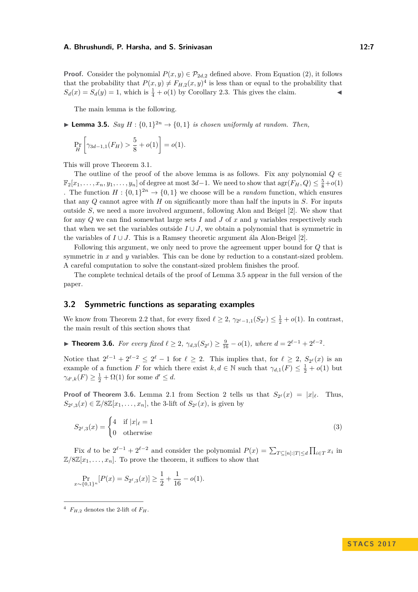**Proof.** Consider the polynomial  $P(x, y) \in \mathcal{P}_{2d,2}$  defined above. From Equation [\(2\)](#page-5-4), it follows that the probability that  $P(x, y) \neq F_{H,2}(x, y)^4$  $P(x, y) \neq F_{H,2}(x, y)^4$  is less than or equal to the probability that  $S_d(x) = S_d(y) = 1$ , which is  $\frac{1}{4} + o(1)$  by Corollary [2.3.](#page-3-4) This gives the claim.

The main lemma is the following.

<span id="page-6-1"></span>**Lemma 3.5.** *Say*  $H : \{0,1\}^{2n} \rightarrow \{0,1\}$  *is chosen uniformly at random. Then,* 

$$
\Pr_{H}\left[\gamma_{3d-1,1}(F_{H}) > \frac{5}{8} + o(1)\right] = o(1).
$$

This will prove Theorem [3.1.](#page-5-1)

The outline of the proof of the above lemma is as follows. Fix any polynomial  $Q \in$  $\mathbb{F}_2[x_1, \ldots, x_n, y_1, \ldots, y_n]$  of degree at most 3*d*−1. We need to show that  $\arg(F_H, Q) \leq \frac{5}{8} + o(1)$ . The function  $H: \{0,1\}^{2n} \to \{0,1\}$  we choose will be a *random* function, which ensures that any *Q* cannot agree with *H* on significantly more than half the inputs in *S*. For inputs outside *S*, we need a more involved argument, following Alon and Beigel [\[2\]](#page-11-15). We show that for any *Q* we can find somewhat large sets *I* and *J* of *x* and *y* variables respectively such that when we set the variables outside  $I \cup J$ , we obtain a polynomial that is symmetric in the variables of  $I \cup J$ . This is a Ramsey theoretic argument ála Alon-Beigel [\[2\]](#page-11-15).

Following this argument, we only need to prove the agreement upper bound for *Q* that is symmetric in *x* and *y* variables. This can be done by reduction to a constant-sized problem. A careful computation to solve the constant-sized problem finishes the proof.

The complete technical details of the proof of Lemma [3.5](#page-6-1) appear in the full version of the paper.

## **3.2 Symmetric functions as separating examples**

We know from Theorem [2.2](#page-3-3) that, for every fixed  $\ell \geq 2$ ,  $\gamma_{2^{\ell}-1,1}(S_{2^{\ell}}) \leq \frac{1}{2} + o(1)$ . In contrast, the main result of this section shows that

<span id="page-6-2"></span>▶ **Theorem 3.6.** For every fixed  $\ell \geq 2$ ,  $\gamma_{d,3}(S_{2^{\ell}}) \geq \frac{9}{16} - o(1)$ , where  $d = 2^{\ell-1} + 2^{\ell-2}$ .

Notice that  $2^{\ell-1} + 2^{\ell-2} \leq 2^{\ell} - 1$  for  $\ell \geq 2$ . This implies that, for  $\ell \geq 2$ ,  $S_{2^{\ell}}(x)$  is an example of a function *F* for which there exist  $k, d \in \mathbb{N}$  such that  $\gamma_{d,1}(F) \leq \frac{1}{2} + o(1)$  but  $\gamma_{d',k}(F) \geq \frac{1}{2} + \Omega(1)$  for some  $d' \leq d$ .

**Proof of Theorem [3.6.](#page-6-2)** Lemma [2.1](#page-3-5) from Section [2](#page-3-1) tells us that  $S_{2^{\ell}}(x) = |x|_{\ell}$ . Thus,  $S_{2^{\ell},3}(x) \in \mathbb{Z}/8\mathbb{Z}[x_1,\ldots,x_n]$ , the 3-lift of  $S_{2^{\ell}}(x)$ , is given by

$$
S_{2^{\ell},3}(x) = \begin{cases} 4 & \text{if } |x|_{\ell} = 1 \\ 0 & \text{otherwise} \end{cases}
$$
 (3)

Fix *d* to be  $2^{\ell-1} + 2^{\ell-2}$  and consider the polynomial  $P(x) = \sum_{T \subseteq [n]:|T| \le d} \prod_{i \in T} x_i$  in  $\mathbb{Z}/8\mathbb{Z}[x_1,\ldots,x_n]$ . To prove the theorem, it suffices to show that

$$
\Pr_{x \sim \{0,1\}^n} [P(x) = S_{2^{\ell},3}(x)] \ge \frac{1}{2} + \frac{1}{16} - o(1).
$$

<span id="page-6-0"></span> $4$   $F_{H,2}$  denotes the 2-lift of  $F_H$ .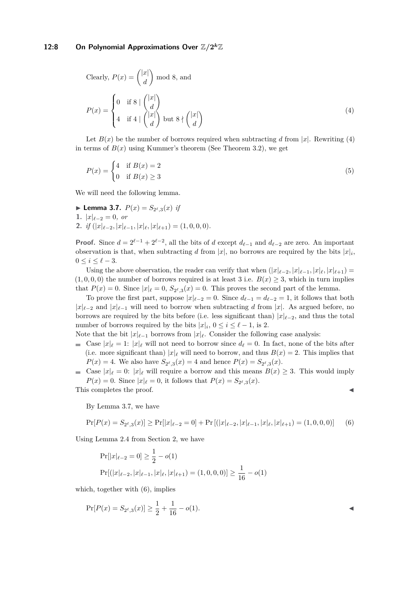# 12:8 On Polynomial Approximations Over  $\mathbb{Z}/2^k\mathbb{Z}$

<span id="page-7-0"></span>Clearly, 
$$
P(x) = \binom{|x|}{d}
$$
 mod 8, and  
\n
$$
P(x) = \begin{cases} 0 & \text{if } 8 \mid \binom{|x|}{d} \\ 4 & \text{if } 4 \mid \binom{|x|}{d} \end{cases} \text{ but } 8 \nmid \binom{|x|}{d} \end{cases}
$$
\n(4)

Let  $B(x)$  be the number of borrows required when subtracting d from |x|. Rewriting [\(4\)](#page-7-0) in terms of  $B(x)$  using Kummer's theorem (See Theorem [3.2\)](#page-5-5), we get

$$
P(x) = \begin{cases} 4 & \text{if } B(x) = 2\\ 0 & \text{if } B(x) \ge 3 \end{cases}
$$
 (5)

We will need the following lemma.

<span id="page-7-1"></span>▶ **Lemma 3.7.**  $P(x) = S_{2^{\ell},3}(x)$  *if* 1.  $|x|_{\ell-2} = 0$ , or **2.** *if*  $(|x|_{\ell-2}, |x|_{\ell-1}, |x|_{\ell}, |x|_{\ell+1}) = (1, 0, 0, 0).$ 

**Proof.** Since  $d = 2^{\ell-1} + 2^{\ell-2}$ , all the bits of *d* except  $d_{\ell-1}$  and  $d_{\ell-2}$  are zero. An important observation is that, when subtracting *d* from  $|x|$ , no borrows are required by the bits  $|x|_i$ ,  $0 \leq i \leq \ell - 3.$ 

Using the above observation, the reader can verify that when  $(|x|_{\ell-2}, |x|_{\ell-1}, |x|_{\ell}, |x|_{\ell+1}) =$  $(1,0,0,0)$  the number of borrows required is at least 3 i.e.  $B(x) \geq 3$ , which in turn implies that  $P(x) = 0$ . Since  $|x|_{\ell} = 0$ ,  $S_{2^{\ell},3}(x) = 0$ . This proves the second part of the lemma.

To prove the first part, suppose  $|x|_{\ell-2} = 0$ . Since  $d_{\ell-1} = d_{\ell-2} = 1$ , it follows that both  $|x|_{\ell-2}$  and  $|x|_{\ell-1}$  will need to borrow when subtracting *d* from |*x*|. As argued before, no borrows are required by the bits before (i.e. less significant than)  $|x|_{\ell-2}$ , and thus the total number of borrows required by the bits  $|x|_i$ ,  $0 \le i \le \ell - 1$ , is 2.

Note that the bit  $|x|_{\ell-1}$  borrows from  $|x|_{\ell}$ . Consider the following case analysis:

- Gase  $|x|_{\ell} = 1$ :  $|x|_{\ell}$  will not need to borrow since  $d_{\ell} = 0$ . In fact, none of the bits after (i.e. more significant than)  $|x|_\ell$  will need to borrow, and thus  $B(x) = 2$ . This implies that  $P(x) = 4$ . We also have  $S_{2^{\ell},3}(x) = 4$  and hence  $P(x) = S_{2^{\ell},3}(x)$ .
- Gase  $|x|_{\ell} = 0$ :  $|x|_{\ell}$  will require a borrow and this means  $B(x) \geq 3$ . This would imply  $P(x) = 0$ . Since  $|x|_{\ell} = 0$ , it follows that  $P(x) = S_{2^{\ell},3}(x)$ .

This completes the proof.

<span id="page-7-2"></span>By Lemma [3.7,](#page-7-1) we have

$$
\Pr[P(x) = S_{2^{\ell},3}(x)] \ge \Pr[|x|_{\ell-2} = 0] + \Pr[(|x|_{\ell-2}, |x|_{\ell-1}, |x|_{\ell}, |x|_{\ell+1}) = (1, 0, 0, 0)] \tag{6}
$$

Using Lemma [2.4](#page-4-1) from Section [2,](#page-3-1) we have

$$
Pr[|x|_{\ell-2} = 0] \ge \frac{1}{2} - o(1)
$$
  

$$
Pr[(|x|_{\ell-2}, |x|_{\ell-1}, |x|_{\ell}, |x|_{\ell+1}) = (1, 0, 0, 0)] \ge \frac{1}{16} - o(1)
$$

which, together with  $(6)$ , implies

$$
\Pr[P(x) = S_{2^{\ell},3}(x)] \ge \frac{1}{2} + \frac{1}{16} - o(1).
$$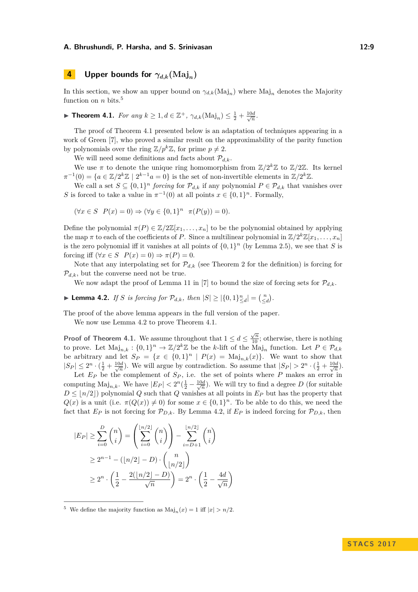# <span id="page-8-0"></span>**4 Upper bounds for**  $\gamma_{d,k}(\text{Maj}_n)$

In this section, we show an upper bound on  $\gamma_{d,k}(\text{Maj}_n)$  where  $\text{Maj}_n$  denotes the Majority function on *n* bits.[5](#page-8-1)

<span id="page-8-2"></span>▶ **Theorem 4.1.** *For any*  $k \ge 1, d \in \mathbb{Z}^+$ ,  $\gamma_{d,k}(\text{Maj}_n) \le \frac{1}{2} + \frac{10d}{\sqrt{n}}$ .

The proof of Theorem [4.1](#page-8-2) presented below is an adaptation of techniques appearing in a work of Green [\[7\]](#page-11-12), who proved a similar result on the approximability of the parity function by polynomials over the ring  $\mathbb{Z}/p^k\mathbb{Z}$ , for prime  $p \neq 2$ .

We will need some definitions and facts about  $\mathcal{P}_{d,k}$ .

We use  $\pi$  to denote the unique ring homomorphism from  $\mathbb{Z}/2^k\mathbb{Z}$  to  $\mathbb{Z}/2\mathbb{Z}$ . Its kernel  $\pi^{-1}(0) = \{a \in \mathbb{Z}/2^k\mathbb{Z} \mid 2^{k-1}a = 0\}$  is the set of non-invertible elements in  $\mathbb{Z}/2^k\mathbb{Z}$ .

We call a set  $S \subseteq \{0,1\}^n$  *forcing* for  $\mathcal{P}_{d,k}$  if any polynomial  $P \in \mathcal{P}_{d,k}$  that vanishes over *S* is forced to take a value in  $\pi^{-1}(0)$  at all points  $x \in \{0,1\}^n$ . Formally,

$$
(\forall x \in S \ P(x) = 0) \Rightarrow (\forall y \in \{0, 1\}^n \ \pi(P(y)) = 0).
$$

Define the polynomial  $\pi(P) \in \mathbb{Z}/2\mathbb{Z}[x_1,\ldots,x_n]$  to be the polynomial obtained by applying the map  $\pi$  to each of the coefficients of *P*. Since a multilinear polynomial in  $\mathbb{Z}/2^k\mathbb{Z}[x_1,\ldots,x_n]$ is the zero polynomial iff it vanishes at all points of  $\{0,1\}^n$  (by Lemma [2.5\)](#page-4-2), we see that *S* is forcing iff  $(\forall x \in S \; P(x) = 0) \Rightarrow \pi(P) = 0.$ 

Note that any interpolating set for  $\mathcal{P}_{d,k}$  (see Theorem [2](#page-3-1) for the definition) is forcing for  $\mathcal{P}_{d,k}$ , but the converse need not be true.

We now adapt the proof of Lemma 11 in [\[7\]](#page-11-12) to bound the size of forcing sets for  $\mathcal{P}_{d,k}$ .

<span id="page-8-3"></span>▶ **Lemma 4.2.** *If S is forcing for*  $\mathcal{P}_{d,k}$ *, then*  $|S| \geq |\{0,1\}_{\leq d}^n| = \binom{n}{\leq d}$ *.* 

The proof of the above lemma appears in the full version of the paper.

We now use Lemma [4.2](#page-8-3) to prove Theorem [4.1.](#page-8-2)

**Proof of Theorem [4.1.](#page-8-2)** We assume throughout that  $1 \le d \le \frac{\sqrt{n}}{10}$ ; otherwise, there is nothing to prove. Let  $\text{Maj}_{n,k}: \{0,1\}^n \to \mathbb{Z}/2^k\mathbb{Z}$  be the *k*-lift of the  $\text{Maj}_n$  function. Let  $P \in \mathcal{P}_{d,k}$ be arbitrary and let  $S_P = \{x \in \{0,1\}^n \mid P(x) = \text{Maj}_{n,k}(x)\}.$  We want to show that  $|S_P| \leq 2^n \cdot (\frac{1}{2} + \frac{10d}{\sqrt{n}})$ . We will argue by contradiction. So assume that  $|S_P| > 2^n \cdot (\frac{1}{2} + \frac{10d}{\sqrt{n}})$ .

Let  $E_P$  be the complement of  $S_P$ , i.e. the set of points where  $P$  makes an error in computing  $\text{Maj}_{n,k}$ . We have  $|E_P| < 2^n(\frac{1}{2} - \frac{10d}{\sqrt{n}})$ . We will try to find a degree *D* (for suitable  $D \leq |n/2|$  polynomial *Q* such that *Q* vanishes at all points in  $E_P$  but has the property that  $Q(x)$  is a unit (i.e.  $\pi(Q(x)) \neq 0$ ) for some  $x \in \{0,1\}^n$ . To be able to do this, we need the fact that  $E_P$  is not forcing for  $\mathcal{P}_{D,k}$ . By Lemma [4.2,](#page-8-3) if  $E_P$  is indeed forcing for  $\mathcal{P}_{D,k}$ , then

$$
|E_P| \ge \sum_{i=0}^D \binom{n}{i} = \left(\sum_{i=0}^{\lfloor n/2 \rfloor} \binom{n}{i}\right) - \sum_{i=D+1}^{\lfloor n/2 \rfloor} \binom{n}{i}
$$
  
 
$$
\ge 2^{n-1} - (\lfloor n/2 \rfloor - D) \cdot \binom{n}{\lfloor n/2 \rfloor}
$$
  
 
$$
\ge 2^n \cdot \left(\frac{1}{2} - \frac{2(\lfloor n/2 \rfloor - D)}{\sqrt{n}}\right) = 2^n \cdot \left(\frac{1}{2} - \frac{4d}{\sqrt{n}}\right)
$$

<span id="page-8-1"></span><sup>5</sup> We define the majority function as  $\text{Maj}_n(x) = 1$  iff  $|x| > n/2$ .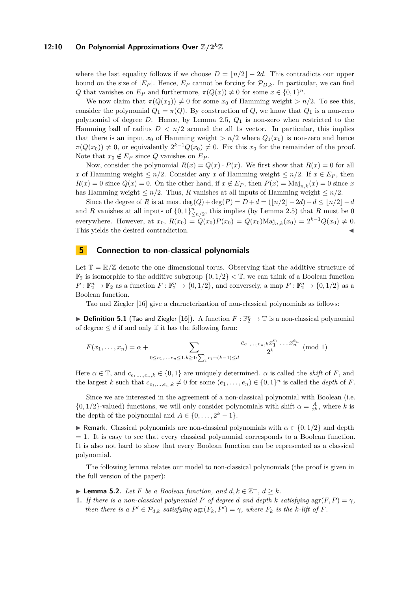# 12:10 On Polynomial Approximations Over  $\mathbb{Z}/2^k\mathbb{Z}$

where the last equality follows if we choose  $D = |n/2| - 2d$ . This contradicts our upper bound on the size of  $|E_P|$ . Hence,  $E_P$  cannot be forcing for  $\mathcal{P}_{D,k}$ . In particular, we can find *Q* that vanishes on  $E_P$  and furthermore,  $\pi(Q(x)) \neq 0$  for some  $x \in \{0,1\}^n$ .

We now claim that  $\pi(Q(x_0)) \neq 0$  for some  $x_0$  of Hamming weight  $> n/2$ . To see this, consider the polynomial  $Q_1 = \pi(Q)$ . By construction of  $Q$ , we know that  $Q_1$  is a non-zero polynomial of degree *D*. Hence, by Lemma [2.5,](#page-4-2) *Q*<sup>1</sup> is non-zero when restricted to the Hamming ball of radius  $D < n/2$  around the all 1s vector. In particular, this implies that there is an input  $x_0$  of Hamming weight  $> n/2$  where  $Q_1(x_0)$  is non-zero and hence  $\pi(Q(x_0)) \neq 0$ , or equivalently  $2^{k-1}Q(x_0) \neq 0$ . Fix this  $x_0$  for the remainder of the proof. Note that  $x_0 \notin E_P$  since *Q* vanishes on  $E_P$ .

Now, consider the polynomial  $R(x) = Q(x) \cdot P(x)$ . We first show that  $R(x) = 0$  for all *x* of Hamming weight  $\leq n/2$ . Consider any *x* of Hamming weight  $\leq n/2$ . If  $x \in E_P$ , then  $R(x) = 0$  since  $Q(x) = 0$ . On the other hand, if  $x \notin E_P$ , then  $P(x) = \text{Maj}_{n,k}(x) = 0$  since *x* has Hamming weight  $\leq n/2$ . Thus, *R* vanishes at all inputs of Hamming weight  $\leq n/2$ .

Since the degree of *R* is at most  $\deg(Q) + \deg(P) = D + d = (\lfloor n/2 \rfloor - 2d) + d \leq \lfloor n/2 \rfloor - d$ and *R* vanishes at all inputs of  $\{0,1\}_{\leq n/2}^n$ , this implies (by Lemma [2.5\)](#page-4-2) that *R* must be 0 everywhere. However, at  $x_0$ ,  $R(x_0) = Q(x_0)P(x_0) = Q(x_0) \text{Maj}_{n,k}(x_0) = 2^{k-1}Q(x_0) \neq 0.$ This yields the desired contradiction.

#### <span id="page-9-0"></span>**5 Connection to non-classical polynomials**

Let  $\mathbb{T} = \mathbb{R}/\mathbb{Z}$  denote the one dimensional torus. Observing that the additive structure of  $\mathbb{F}_2$  is isomorphic to the additive subgroup  $\{0,1/2\} < \mathbb{T}$ , we can think of a Boolean function  $F: \mathbb{F}_2^n \to \mathbb{F}_2$  as a function  $F: \mathbb{F}_2^n \to \{0, 1/2\}$ , and conversely, a map  $F: \mathbb{F}_2^n \to \{0, 1/2\}$  as a Boolean function.

Tao and Ziegler [\[16\]](#page-11-17) give a characterization of non-classical polynomials as follows:

 $\blacktriangleright$  **Definition 5.1** (Tao and Ziegler [\[16\]](#page-11-17)). A function  $F : \mathbb{F}_2^n \to \mathbb{T}$  is a non-classical polynomial of degree  $\leq d$  if and only if it has the following form:

$$
F(x_1, ..., x_n) = \alpha + \sum_{0 \le e_1, ..., e_n \le 1, k \ge 1: \sum_i e_i + (k-1) \le d} \frac{c_{e_1, ..., e_n, k} x_1^{e_1} ... x_n^{e_n}}{2^k}
$$
 (mod 1)

Here  $\alpha \in \mathbb{T}$ , and  $c_{e_1,\dots,e_n,k} \in \{0,1\}$  are uniquely determined.  $\alpha$  is called the *shift* of *F*, and the largest *k* such that  $c_{e_1,\dots,e_n,k} \neq 0$  for some  $(e_1,\dots,e_n) \in \{0,1\}^n$  is called the *depth* of *F*.

Since we are interested in the agreement of a non-classical polynomial with Boolean (i.e.  $\{0, 1/2\}$ -valued) functions, we will only consider polynomials with shift  $\alpha = \frac{A}{2^k}$ , where *k* is the depth of the polynomial and  $A \in \{0, \ldots, 2^k - 1\}.$ 

**F** Remark. Classical polynomials are non-classical polynomials with  $\alpha \in \{0, 1/2\}$  and depth  $= 1$ . It is easy to see that every classical polynomial corresponds to a Boolean function. It is also not hard to show that every Boolean function can be represented as a classical polynomial.

The following lemma relates our model to non-classical polynomials (the proof is given in the full version of the paper):

<span id="page-9-1"></span>▶ **Lemma 5.2.** *Let F be a Boolean function, and*  $d, k \in \mathbb{Z}^+$ ,  $d \geq k$ *.* 

**1.** *If there is a non-classical polynomial P of degree d and depth k satisfying*  $\arg(F, P) = \gamma$ *, then there is a*  $P' \in \mathcal{P}_{d,k}$  *satisfying*  $\text{agr}(F_k, P') = \gamma$ *, where*  $F_k$  *is the k-lift of*  $F$ *.*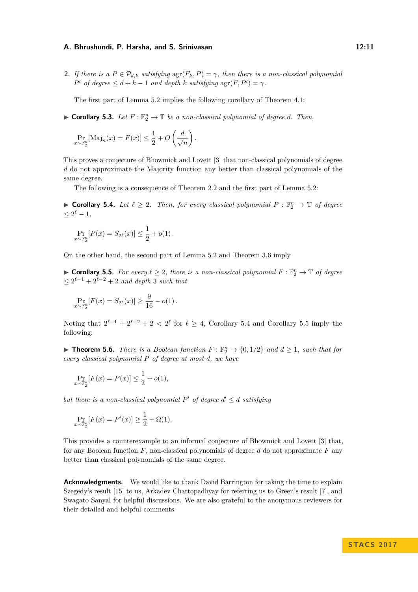**2.** *If there is a*  $P \in \mathcal{P}_{d,k}$  *satisfying*  $\text{agr}(F_k, P) = \gamma$ *, then there is a non-classical polynomial P*<sup>*'*</sup> *of degree*  $\leq d + k - 1$  *and depth k satisfying*  $\arg(F, P') = \gamma$ *.* 

The first part of Lemma [5.2](#page-9-1) implies the following corollary of Theorem [4.1:](#page-8-2)

 $\blacktriangleright$  **Corollary 5.3.** Let  $F: \mathbb{F}_2^n \to \mathbb{T}$  be a non-classical polynomial of degree *d*. Then,

$$
\Pr_{x \sim \mathbb{F}_2^n}[\text{Maj}_n(x) = F(x)] \le \frac{1}{2} + O\left(\frac{d}{\sqrt{n}}\right).
$$

This proves a conjecture of Bhowmick and Lovett [\[3\]](#page-11-11) that non-classical polynomials of degree *d* do not approximate the Majority function any better than classical polynomials of the same degree.

The following is a consequence of Theorem [2.2](#page-3-3) and the first part of Lemma [5.2:](#page-9-1)

<span id="page-10-0"></span>▶ **Corollary 5.4.** *Let*  $\ell \geq 2$ *. Then, for every classical polynomial*  $P : \mathbb{F}_2^n \to \mathbb{T}$  *of degree*  $\leq 2^{\ell} - 1,$ 

$$
\Pr_{x \sim \mathbb{F}_2^n} [P(x) = S_{2^{\ell}}(x)] \le \frac{1}{2} + o(1) \, .
$$

*x*∼F

On the other hand, the second part of Lemma [5.2](#page-9-1) and Theorem [3.6](#page-6-2) imply

<span id="page-10-1"></span>▶ **Corollary 5.5.** *For every*  $\ell \geq 2$ *, there is a non-classical polynomial*  $F : \mathbb{F}_2^n \to \mathbb{T}$  *of degree*  $\leq 2^{\ell-1} + 2^{\ell-2} + 2$  *and depth* 3 *such that* 

$$
\Pr_{x \sim \mathbb{F}_2^n} [F(x) = S_{2^{\ell}}(x)] \ge \frac{9}{16} - o(1).
$$

Noting that  $2^{\ell-1} + 2^{\ell-2} + 2 < 2^{\ell}$  for  $\ell \geq 4$ , Corollary [5.4](#page-10-0) and Corollary [5.5](#page-10-1) imply the following:

▶ **Theorem 5.6.** *There is a Boolean function*  $F : \mathbb{F}_2^n \to \{0, 1/2\}$  *and*  $d ≥ 1$ *, such that for every classical polynomial P of degree at most d, we have*

$$
\Pr_{x \sim \mathbb{F}_2^n} [F(x) = P(x)] \le \frac{1}{2} + o(1),
$$

*but there is a non-classical polynomial*  $P'$  *of degree*  $d' \leq d$  *satisfying* 

$$
\Pr_{x \sim \mathbb{F}_2^n} [F(x) = P'(x)] \ge \frac{1}{2} + \Omega(1).
$$

This provides a counterexample to an informal conjecture of Bhowmick and Lovett [\[3\]](#page-11-11) that, for any Boolean function *F*, non-classical polynomials of degree *d* do not approximate *F* any better than classical polynomials of the same degree.

**Acknowledgments.** We would like to thank David Barrington for taking the time to explain Szegedy's result [\[15\]](#page-11-3) to us, Arkadev Chattopadhyay for referring us to Green's result [\[7\]](#page-11-12), and Swagato Sanyal for helpful discussions. We are also grateful to the anonymous reviewers for their detailed and helpful comments.